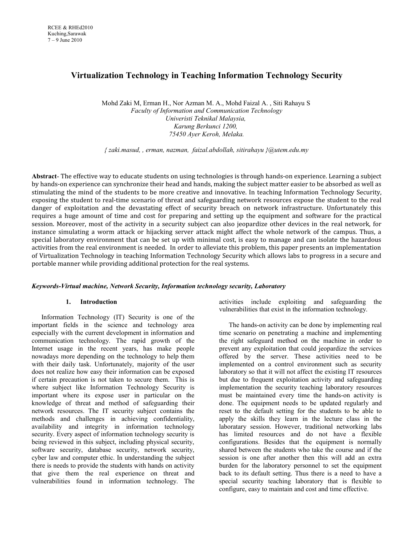# **Virtualization Technology in Teaching Information Technology Security**

Mohd Zaki M, Erman H., Nor Azman M. A., Mohd Faizal A. , Siti Rahayu S *Faculty of Information and Communication Technology Univeristi Teknikal Malaysia, Karung Berkunci 1200, 75450 Ayer Keroh, Melaka.*

*{ zaki.masud, , erman, nazman, faizal.abdollah, sitirahayu }@utem.edu.my*

**Abstract**- The effective way to educate students on using technologies is through hands-on experience. Learning a subject by hands-on experience can synchronize their head and hands, making the subject matter easier to be absorbed as well as stimulating the mind of the students to be more creative and innovative. In teaching Information Technology Security, exposing the student to real-time scenario of threat and safeguarding network resources expose the student to the real danger of exploitation and the devastating effect of security breach on network infrastructure. Unfortunately this requires a huge amount of time and cost for preparing and setting up the equipment and software for the practical session. Moreover, most of the activity in a security subject can also jeopardize other devices in the real network, for instance simulating a worm attack or hijacking server attack might affect the whole network of the campus. Thus, a special laboratory environment that can be set up with minimal cost, is easy to manage and can isolate the hazardous activities from the real environment is needed. In order to alleviate this problem, this paper presents an implementation of Virtualization Technology in teaching Information Technology Security which allows labs to progress in a secure and portable manner while providing additional protection for the real systems.

# *Keywords-Virtual machine, Network Security, Information technology security, Laboratory*

# **1. Introduction**

Information Technology (IT) Security is one of the important fields in the science and technology area especially with the current development in information and communication technology. The rapid growth of the Internet usage in the recent years, has make people nowadays more depending on the technology to help them with their daily task. Unfortunately, majority of the user does not realize how easy their information can be exposed if certain precaution is not taken to secure them. This is where subject like Information Technology Security is important where its expose user in particular on the knowledge of threat and method of safeguarding their network resources. The IT security subject contains the methods and challenges in achieving confidentiality, availability and integrity in information technology security. Every aspect of information technology security is being reviewed in this subject, including physical security, software security, database security, network security, cyber law and computer ethic. In understanding the subject there is needs to provide the students with hands on activity that give them the real experience on threat and vulnerabilities found in information technology. The

activities include exploiting and safeguarding the vulnerabilities that exist in the information technology.

The hands-on activity can be done by implementing real time scenario on penetrating a machine and implementing the right safeguard method on the machine in order to prevent any exploitation that could jeopardize the services offered by the server. These activities need to be implemented on a control environment such as security laboratory so that it will not affect the existing IT resources but due to frequent exploitation activity and safeguarding implementation the security teaching laboratory resources must be maintained every time the hands-on activity is done. The equipment needs to be updated regularly and reset to the default setting for the students to be able to apply the skills they learn in the lecture class in the laboratary session. However, traditional networking labs has limited resources and do not have a flexible configurations. Besides that the equipment is normally shared between the students who take the course and if the session is one after another then this will add an extra burden for the laboratory personnel to set the equipment back to its default setting. Thus there is a need to have a special security teaching laboratory that is flexible to configure, easy to maintain and cost and time effective.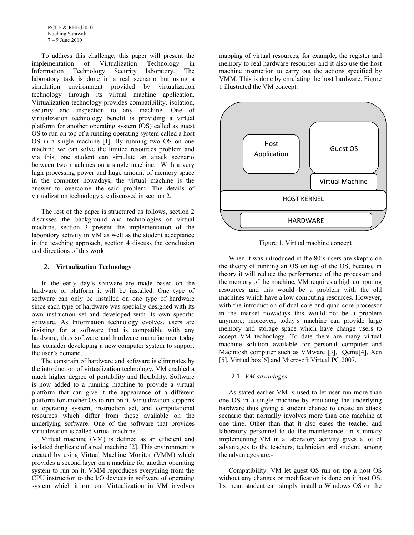To address this challenge, this paper will present the implementation of Virtualization Technology in Information Technology Security laboratory. The laboratory task is done in a real scenario but using a simulation environment provided by virtualization technology through its virtual machine application. Virtualization technology provides compatibility, isolation, security and inspection to any machine. One of virtualization technology benefit is providing a virtual platform for another operating system (OS) called as guest OS to run on top of a running operating system called a host OS in a single machine [1]. By running two OS on one machine we can solve the limited resources problem and via this, one student can simulate an attack scenario between two machines on a single machine. With a very high processing power and huge amount of memory space in the computer nowadays, the virtual machine is the answer to overcome the said problem. The details of virtualization technology are discussed in section 2.

The rest of the paper is structured as follows, section 2 discusses the background and technologies of virtual machine, section 3 present the implementation of the laboratory activity in VM as well as the student acceptance in the teaching approach, section 4 discuss the conclusion and directions of this work.

#### 2. **Virtualization Technology**

In the early day's software are made based on the hardware or platform it will be installed. One type of software can only be installed on one type of hardware since each type of hardware was specially designed with its own instruction set and developed with its own specific software. As Information technology evolves, users are insisting for a software that is compatible with any hardware, thus software and hardware manufacturer today has consider developing a new computer system to support the user's demand.

The constrain of hardware and software is eliminates by the introduction of virtualization technology, VM enabled a much higher degree of portability and flexibility. Software is now added to a running machine to provide a virtual platform that can give it the appearance of a different platform for another OS to run on it. Virtualization supports an operating system, instruction set, and computational resources which differ from those available on the underlying software. One of the software that provides virtualization is called virtual machine.

Virtual machine (VM) is defined as an efficient and isolated duplicate of a real machine [2]. This environment is created by using Virtual Machine Monitor (VMM) which provides a second layer on a machine for another operating system to run on it. VMM reproduces everything from the CPU instruction to the I/O devices in software of operating system which it run on. Virtualization in VM involves

mapping of virtual resources, for example, the register and memory to real hardware resources and it also use the host machine instruction to carry out the actions specified by VMM. This is done by emulating the host hardware. Figure 1 illustrated the VM concept.



Figure 1. Virtual machine concept

When it was introduced in the 80's users are skeptic on the theory of running an OS on top of the OS, because in theory it will reduce the performance of the processor and the memory of the machine, VM requires a high computing resources and this would be a problem with the old machines which have a low computing resources. However, with the introduction of dual core and quad core processor in the market nowadays this would not be a problem anymore; moreover, today's machine can provide large memory and storage space which have change users to accept VM technology. To date there are many virtual machine solution available for personal computer and Macintosh computer such as VMware [3], Qemu[4], Xen [5], Virtual box[6] and Microsoft Virtual PC 2007.

#### 2.1 *VM advantages*

As stated earlier VM is used to let user run more than one OS in a single machine by emulating the underlying hardware thus giving a student chance to create an attack scenario that normally involves more than one machine at one time. Other than that it also eases the teacher and laboratory personnel to do the maintenance. In summary implementing VM in a laboratory activity gives a lot of advantages to the teachers, technician and student, among the advantages are:-

Compatibility: VM let guest OS run on top a host OS without any changes or modification is done on it host OS. Its mean student can simply install a Windows OS on the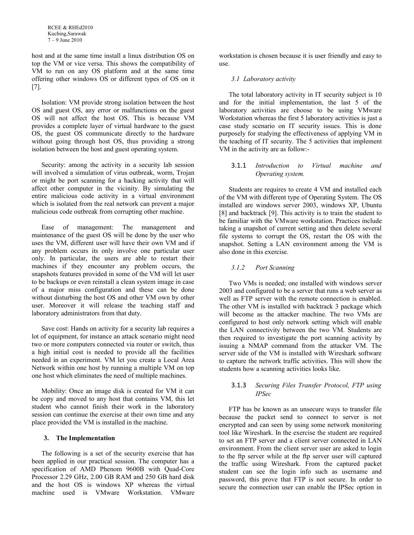host and at the same time install a linux distribution OS on top the VM or vice versa. This shows the compatibility of VM to run on any OS platform and at the same time offering other windows OS or different types of OS on it [7].

Isolation: VM provide strong isolation between the host OS and guest OS, any error or malfunctions on the guest OS will not affect the host OS. This is because VM provides a complete layer of virtual hardware to the guest OS, the guest OS communicate directly to the hardware without going through host OS, thus providing a strong isolation between the host and guest operating system.

Security: among the activity in a security lab session will involved a simulation of virus outbreak, worm, Trojan or might be port scanning for a hacking activity that will affect other computer in the vicinity. By simulating the entire malicious code activity in a virtual environment which is isolated from the real network can prevent a major malicious code outbreak from corrupting other machine.

Ease of management: The management and maintenance of the guest OS will be done by the user who uses the VM, different user will have their own VM and if any problem occurs its only involve one particular user only. In particular, the users are able to restart their machines if they encounter any problem occurs, the snapshots features provided in some of the VM will let user to be backups or even reinstall a clean system image in case of a major miss configuration and these can be done without disturbing the host OS and other VM own by other user. Moreover it will release the teaching staff and laboratory administrators from that duty.

Save cost: Hands on activity for a security lab requires a lot of equipment, for instance an attack scenario might need two or more computers connected via router or switch, thus a high initial cost is needed to provide all the facilities needed in an experiment. VM let you create a Local Area Network within one host by running a multiple VM on top one host which eliminates the need of multiple machines.

Mobility: Once an image disk is created for VM it can be copy and moved to any host that contains VM, this let student who cannot finish their work in the laboratory session can continue the exercise at their own time and any place provided the VM is installed in the machine.

# **3. The Implementation**

The following is a set of the security exercise that has been applied in our practical session. The computer has a specification of AMD Phenom 9600B with Quad-Core Processor 2.29 GHz, 2.00 GB RAM and 250 GB hard disk and the host OS is windows XP whereas the virtual machine used is VMware Workstation. VMware

workstation is chosen because it is user friendly and easy to use.

## *3.1 Laboratory activity*

The total laboratory activity in IT security subject is 10 and for the initial implementation, the last 5 of the laboratory activities are choose to be using VMware Workstation whereas the first 5 laboratory activities is just a case study scenario on IT security issues. This is done purposely for studying the effectiveness of applying VM in the teaching of IT security. The 5 activities that implement VM in the activity are as follow:-

# 3.1.1 *Introduction to Virtual machine and Operating system.*

Students are requires to create 4 VM and installed each of the VM with different type of Operating System. The OS installed are windows server 2003, windows XP, Ubuntu [8] and backtrack [9]. This activity is to train the student to be familiar with the VMware workstation. Practices include taking a snapshot of current setting and then delete several file systems to corrupt the OS, restart the OS with the snapshot. Setting a LAN environment among the VM is also done in this exercise.

# *3.1.2 Port Scanning*

Two VMs is needed; one installed with windows server 2003 and configured to be a server that runs a web server as well as FTP server with the remote connection is enabled. The other VM is installed with backtrack 3 package which will become as the attacker machine. The two VMs are configured to host only network setting which will enable the LAN connectivity between the two VM. Students are then required to investigate the port scanning activity by issuing a NMAP command from the attacker VM. The server side of the VM is installed with Wireshark software to capture the network traffic activities. This will show the students how a scanning activities looks like.

### 3.1.3 *Securing Files Transfer Protocol, FTP using IPSec*

FTP has be known as an unsecure ways to transfer file because the packet send to connect to server is not encrypted and can seen by using some network monitoring tool like Wireshark. In the exercise the student are required to set an FTP server and a client server connected in LAN environment. From the client server user are asked to login to the ftp server while at the ftp server user will captured the traffic using Wireshark. From the captured packet student can see the login info such as username and password, this prove that FTP is not secure. In order to secure the connection user can enable the IPSec option in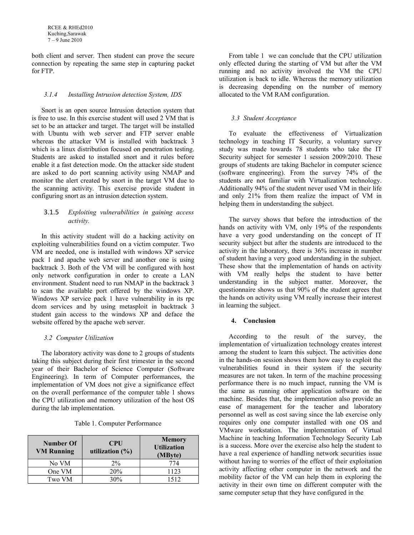both client and server. Then student can prove the secure connection by repeating the same step in capturing packet for FTP.

#### *3.1.4 Installing Intrusion detection System, IDS*

Snort is an open source Intrusion detection system that is free to use. In this exercise student will used 2 VM that is set to be an attacker and target. The target will be installed with Ubuntu with web server and FTP server enable whereas the attacker VM is installed with backtrack 3 which is a linux distribution focused on penetration testing. Students are asked to installed snort and it rules before enable it a fast detection mode. On the attacker side student are asked to do port scanning activity using NMAP and monitor the alert created by snort in the target VM due to the scanning activity. This exercise provide student in configuring snort as an intrusion detection system.

### 3.1.5 *Exploiting vulnerabilities in gaining access activity.*

In this activity student will do a hacking activity on exploiting vulnerabilities found on a victim computer. Two VM are needed, one is installed with windows XP service pack 1 and apache web server and another one is using backtrack 3. Both of the VM will be configured with host only network configuration in order to create a LAN environment. Student need to run NMAP in the backtrack 3 to scan the available port offered by the windows XP. Windows XP service pack 1 have vulnerability in its rpc dcom services and by using metasploit in backtrack 3 student gain access to the windows XP and deface the website offered by the apache web server.

#### *3.2 Computer Utilization*

The laboratory activity was done to 2 groups of students taking this subject during their first trimester in the second year of their Bachelor of Science Computer (Software Engineering). In term of Computer performances, the implementation of VM does not give a significance effect on the overall performance of the computer table 1 shows the CPU utilization and memory utilization of the host OS during the lab implementation.

|  | Table 1. Computer Performance |
|--|-------------------------------|
|  |                               |

| Number Of<br><b>VM Running</b> | <b>CPU</b><br>utilization $(\%)$ | <b>Memory</b><br><b>Utilization</b><br>(MByte) |
|--------------------------------|----------------------------------|------------------------------------------------|
| No VM                          | $2\%$                            | 774                                            |
| One VM                         | 20%                              | 1123                                           |
| Two VM                         | 30%                              | 1512                                           |

From table 1 we can conclude that the CPU utilization only effected during the starting of VM but after the VM running and no activity involved the VM the CPU utilization is back to idle. Whereas the memory utilization is decreasing depending on the number of memory allocated to the VM RAM configuration.

#### *3.3 Student Acceptance*

To evaluate the effectiveness of Virtualization technology in teaching IT Security, a voluntary survey study was made towards 78 students who take the IT Security subject for semester 1 session 2009/2010. These groups of students are taking Bachelor in computer science (software engineering). From the survey 74% of the students are not familiar with Virtualization technology. Additionally 94% of the student never used VM in their life and only 21% from them realize the impact of VM in helping them in understanding the subject.

The survey shows that before the introduction of the hands on activity with VM, only 19% of the respondents have a very good understanding on the concept of IT security subject but after the students are introduced to the activity in the laboratory, there is 36% increase in number of student having a very good understanding in the subject. These show that the implementation of hands on activity with VM really helps the student to have better understanding in the subject matter. Moreover, the questionnaire shows us that 90% of the student agrees that the hands on activity using VM really increase their interest in learning the subject.

# **4. Conclusion**

According to the result of the survey, the implementation of virtualization technology creates interest among the student to learn this subject. The activities done in the hands-on session shows them how easy to exploit the vulnerabilities found in their system if the security measures are not taken. In term of the machine processing performance there is no much impact, running the VM is the same as running other application software on the machine. Besides that, the implementation also provide an ease of management for the teacher and laboratory personnel as well as cost saving since the lab exercise only requires only one computer installed with one OS and VMware workstation. The implementation of Virtual Machine in teaching Information Technology Security Lab is a success. More over the exercise also help the student to have a real experience of handling network securities issue without having to worries of the effect of their exploitation activity affecting other computer in the network and the mobility factor of the VM can help them in exploring the activity in their own time on different computer with the same computer setup that they have configured in the